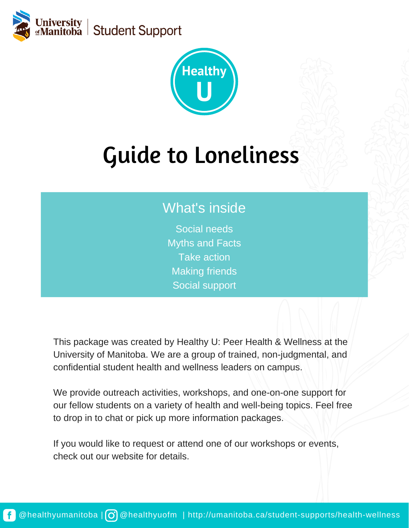



# Guide to Loneliness

## What's inside

Social needs Myths and Facts Take action Making friends Social support

This package was created by Healthy U: Peer Health & Wellness at the University of Manitoba. We are a group of trained, non-judgmental, and confidential student health and wellness leaders on campus.

We provide outreach activities, workshops, and one-on-one support for our fellow students on a variety of health and well-being topics. Feel free to drop in to chat or pick up more information packages.

If you would like to request or attend one of our workshops or events, check out our website for details.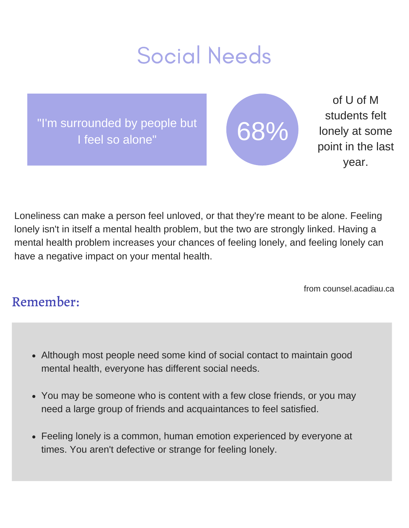## Social Needs

"I'm surrounded by people but I feel so alone"



of U of M students felt lonely at some point in the last year.

Loneliness can make a person feel unloved, or that they're meant to be alone. Feeling lonely isn't in itself a mental health problem, but the two are strongly linked. Having a mental health problem increases your chances of feeling lonely, and feeling lonely can have a negative impact on your mental health.

from counsel.acadiau.ca

## Remember:

- Although most people need some kind of social contact to maintain good mental health, everyone has different social needs.
- You may be someone who is content with a few close friends, or you may need a large group of friends and acquaintances to feel satisfied.
- Feeling lonely is a common, human emotion experienced by everyone at times. You aren't defective or strange for feeling lonely.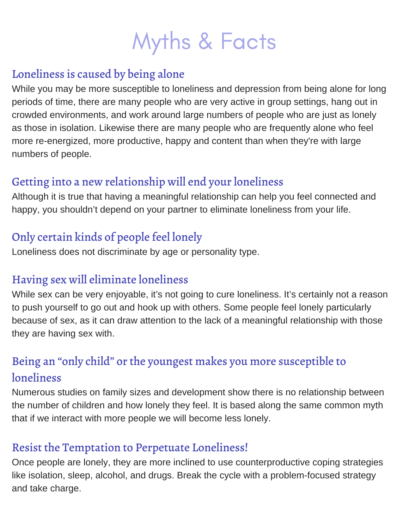## Myths & Facts

#### Loneliness is caused by being alone

While you may be more susceptible to loneliness and depression from being alone for long periods of time, there are many people who are very active in group settings, hang out in crowded environments, and work around large numbers of people who are just as lonely as those in isolation. Likewise there are many people who are frequently alone who feel more re-energized, more productive, happy and content than when they're with large numbers of people.

### Getting into a new relationship will end your loneliness

Although it is true that having a meaningful relationship can help you feel connected and happy, you shouldn't depend on your partner to eliminate loneliness from your life.

### Only certain kinds of people feel lonely

Loneliness does not discriminate by age or personality type.

#### Having sex will eliminate loneliness

While sex can be very enjoyable, it's not going to cure loneliness. It's certainly not a reason to push yourself to go out and hook up with others. Some people feel lonely particularly because of sex, as it can draw attention to the lack of a meaningful relationship with those they are having sex with.

### Being an "only child" or the youngest makes you more susceptible to loneliness

Numerous studies on family sizes and development show there is no relationship between the number of children and how lonely they feel. It is based along the same common myth that if we interact with more people we will become less lonely.

#### Resist the Temptation to Perpetuate Loneliness!

Once people are lonely, they are more inclined to use counterproductive coping strategies like isolation, sleep, alcohol, and drugs. Break the cycle with a problem-focused strategy and take charge.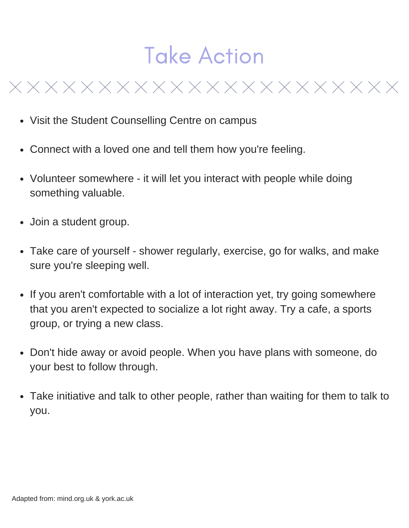## Take Action

- Visit the Student Counselling Centre on campus
- Connect with a loved one and tell them how you're feeling.
- Volunteer somewhere it will let you interact with people while doing something valuable.
- Join a student group.
- Take care of yourself shower regularly, exercise, go for walks, and make sure you're sleeping well.
- If you aren't comfortable with a lot of interaction yet, try going somewhere that you aren't expected to socialize a lot right away. Try a cafe, a sports group, or trying a new class.
- Don't hide away or avoid people. When you have plans with someone, do your best to follow through.
- Take initiative and talk to other people, rather than waiting for them to talk to  $\bullet$ you.